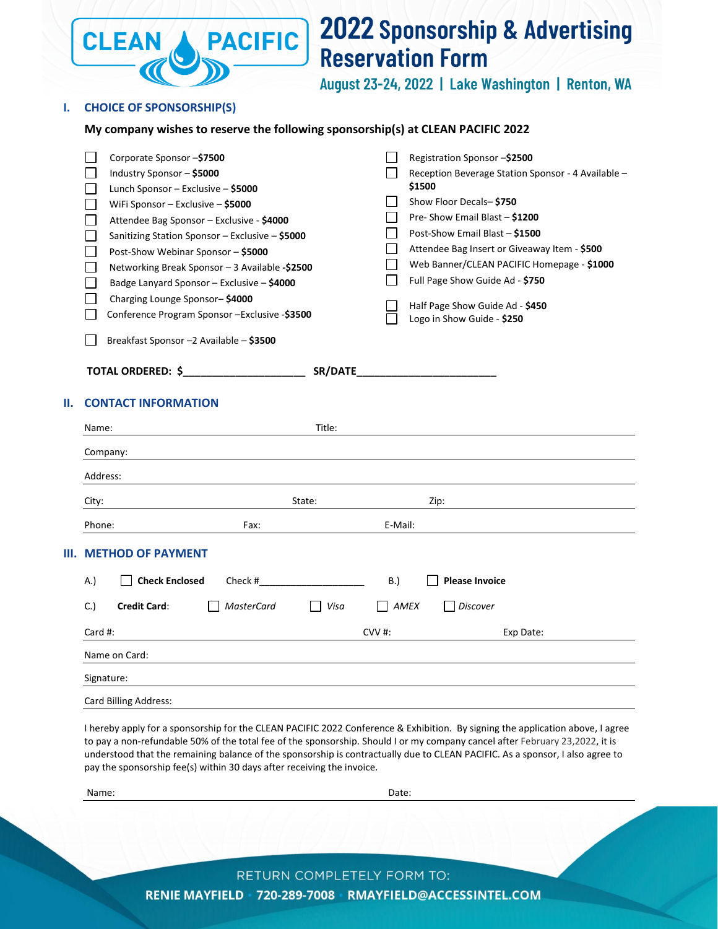

# **2022 Sponsorship & Advertising Reservation Form**

August 23-24, 2022 | Lake Washington | Renton, WA

## **I. CHOICE OF SPONSORSHIP(S)**

# **My company wishes to reserve the following sponsorship(s) at CLEAN PACIFIC 2022**

|    | Corporate Sponsor -\$7500                       |         | Registration Sponsor -\$2500                                  |
|----|-------------------------------------------------|---------|---------------------------------------------------------------|
|    | Industry Sponsor - \$5000                       |         | Reception Beverage Station Sponsor - 4 Available -            |
|    | Lunch Sponsor – Exclusive – \$5000              |         | \$1500                                                        |
|    | WiFi Sponsor - Exclusive - \$5000               |         | Show Floor Decals-\$750                                       |
|    | Attendee Bag Sponsor - Exclusive - \$4000       |         | Pre-Show Email Blast - \$1200                                 |
|    | Sanitizing Station Sponsor - Exclusive - \$5000 |         | Post-Show Email Blast - \$1500                                |
|    | Post-Show Webinar Sponsor - \$5000              |         | Attendee Bag Insert or Giveaway Item - \$500                  |
|    | Networking Break Sponsor - 3 Available -\$2500  |         | Web Banner/CLEAN PACIFIC Homepage - \$1000                    |
|    | Badge Lanyard Sponsor - Exclusive - \$4000      |         | Full Page Show Guide Ad - \$750                               |
|    | Charging Lounge Sponsor-\$4000                  |         |                                                               |
|    | Conference Program Sponsor - Exclusive - \$3500 |         | Half Page Show Guide Ad - \$450<br>Logo in Show Guide - \$250 |
|    | Breakfast Sponsor -2 Available - \$3500         |         |                                                               |
|    | TOTAL ORDERED: \$                               | SR/DATE |                                                               |
| П. | <b>CONTACT INFORMATION</b>                      |         |                                                               |
|    | Name:                                           | Title:  |                                                               |
|    |                                                 |         |                                                               |

|  | Company:<br>Address:          |                           |         |                       |  |  |  |  |
|--|-------------------------------|---------------------------|---------|-----------------------|--|--|--|--|
|  |                               |                           |         |                       |  |  |  |  |
|  | City:                         | State:                    |         | Zip:                  |  |  |  |  |
|  | Phone:                        | Fax:                      | E-Mail: |                       |  |  |  |  |
|  | <b>III. METHOD OF PAYMENT</b> |                           |         |                       |  |  |  |  |
|  | <b>Check Enclosed</b><br>A.)  | Check #                   |         | <b>Please Invoice</b> |  |  |  |  |
|  | <b>Credit Card:</b><br>C.)    | <b>MasterCard</b><br>Visa | AMEX    | Discover<br>L         |  |  |  |  |
|  | Card #:                       |                           |         | Exp Date:             |  |  |  |  |
|  | Name on Card:                 |                           |         |                       |  |  |  |  |
|  | Signature:                    |                           |         |                       |  |  |  |  |
|  | Card Billing Address:         |                           |         |                       |  |  |  |  |

I hereby apply for a sponsorship for the CLEAN PACIFIC 2022 Conference & Exhibition. By signing the application above, I agree to pay a non-refundable 50% of the total fee of the sponsorship. Should I or my company cancel after February 23,2022, it is understood that the remaining balance of the sponsorship is contractually due to CLEAN PACIFIC. As a sponsor, I also agree to pay the sponsorship fee(s) within 30 days after receiving the invoice.

Name: Date:

RETURN COMPLETELY FORM TO: RENIE MAYFIELD 720-289-7008 RMAYFIELD@ACCESSINTEL.COM